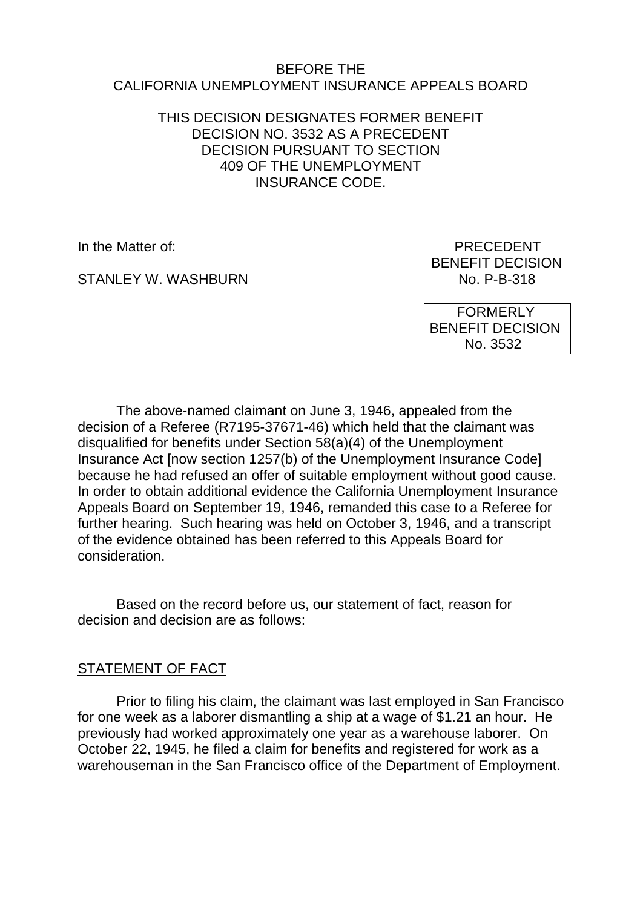### BEFORE THE CALIFORNIA UNEMPLOYMENT INSURANCE APPEALS BOARD

## THIS DECISION DESIGNATES FORMER BENEFIT DECISION NO. 3532 AS A PRECEDENT DECISION PURSUANT TO SECTION 409 OF THE UNEMPLOYMENT INSURANCE CODE.

STANLEY W. WASHBURN

In the Matter of: **PRECEDENT** BENEFIT DECISION<br>No. P-B-318

> FORMERLY BENEFIT DECISION No. 3532

The above-named claimant on June 3, 1946, appealed from the decision of a Referee (R7195-37671-46) which held that the claimant was disqualified for benefits under Section 58(a)(4) of the Unemployment Insurance Act [now section 1257(b) of the Unemployment Insurance Code] because he had refused an offer of suitable employment without good cause. In order to obtain additional evidence the California Unemployment Insurance Appeals Board on September 19, 1946, remanded this case to a Referee for further hearing. Such hearing was held on October 3, 1946, and a transcript of the evidence obtained has been referred to this Appeals Board for consideration.

Based on the record before us, our statement of fact, reason for decision and decision are as follows:

# STATEMENT OF FACT

Prior to filing his claim, the claimant was last employed in San Francisco for one week as a laborer dismantling a ship at a wage of \$1.21 an hour. He previously had worked approximately one year as a warehouse laborer. On October 22, 1945, he filed a claim for benefits and registered for work as a warehouseman in the San Francisco office of the Department of Employment.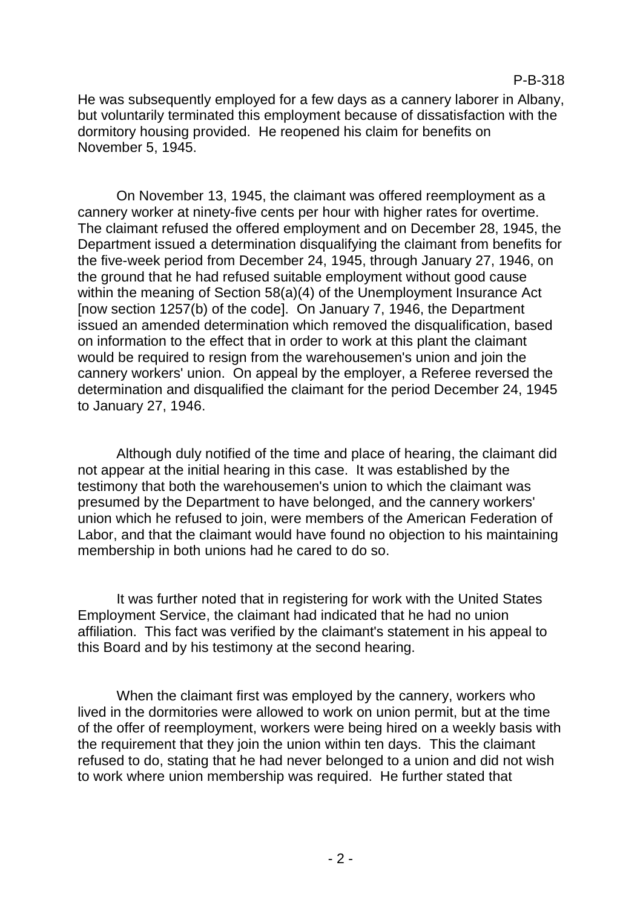He was subsequently employed for a few days as a cannery laborer in Albany, but voluntarily terminated this employment because of dissatisfaction with the dormitory housing provided. He reopened his claim for benefits on November 5, 1945.

On November 13, 1945, the claimant was offered reemployment as a cannery worker at ninety-five cents per hour with higher rates for overtime. The claimant refused the offered employment and on December 28, 1945, the Department issued a determination disqualifying the claimant from benefits for the five-week period from December 24, 1945, through January 27, 1946, on the ground that he had refused suitable employment without good cause within the meaning of Section 58(a)(4) of the Unemployment Insurance Act [now section 1257(b) of the code]. On January 7, 1946, the Department issued an amended determination which removed the disqualification, based on information to the effect that in order to work at this plant the claimant would be required to resign from the warehousemen's union and join the cannery workers' union. On appeal by the employer, a Referee reversed the determination and disqualified the claimant for the period December 24, 1945 to January 27, 1946.

Although duly notified of the time and place of hearing, the claimant did not appear at the initial hearing in this case. It was established by the testimony that both the warehousemen's union to which the claimant was presumed by the Department to have belonged, and the cannery workers' union which he refused to join, were members of the American Federation of Labor, and that the claimant would have found no objection to his maintaining membership in both unions had he cared to do so.

It was further noted that in registering for work with the United States Employment Service, the claimant had indicated that he had no union affiliation. This fact was verified by the claimant's statement in his appeal to this Board and by his testimony at the second hearing.

When the claimant first was employed by the cannery, workers who lived in the dormitories were allowed to work on union permit, but at the time of the offer of reemployment, workers were being hired on a weekly basis with the requirement that they join the union within ten days. This the claimant refused to do, stating that he had never belonged to a union and did not wish to work where union membership was required. He further stated that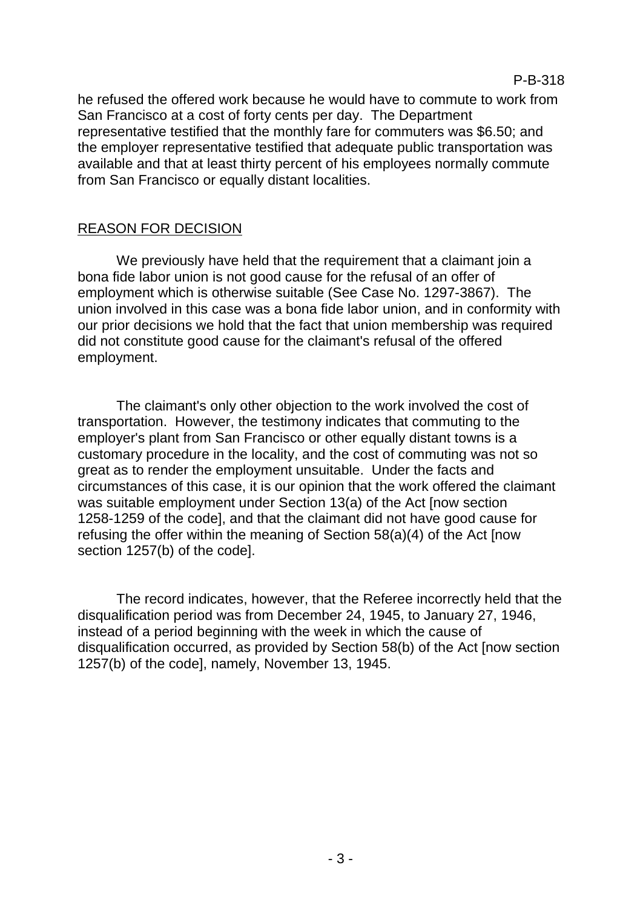he refused the offered work because he would have to commute to work from San Francisco at a cost of forty cents per day. The Department representative testified that the monthly fare for commuters was \$6.50; and the employer representative testified that adequate public transportation was available and that at least thirty percent of his employees normally commute from San Francisco or equally distant localities.

#### REASON FOR DECISION

We previously have held that the requirement that a claimant join a bona fide labor union is not good cause for the refusal of an offer of employment which is otherwise suitable (See Case No. 1297-3867). The union involved in this case was a bona fide labor union, and in conformity with our prior decisions we hold that the fact that union membership was required did not constitute good cause for the claimant's refusal of the offered employment.

The claimant's only other objection to the work involved the cost of transportation. However, the testimony indicates that commuting to the employer's plant from San Francisco or other equally distant towns is a customary procedure in the locality, and the cost of commuting was not so great as to render the employment unsuitable. Under the facts and circumstances of this case, it is our opinion that the work offered the claimant was suitable employment under Section 13(a) of the Act [now section 1258-1259 of the code], and that the claimant did not have good cause for refusing the offer within the meaning of Section 58(a)(4) of the Act [now section 1257(b) of the code].

The record indicates, however, that the Referee incorrectly held that the disqualification period was from December 24, 1945, to January 27, 1946, instead of a period beginning with the week in which the cause of disqualification occurred, as provided by Section 58(b) of the Act [now section 1257(b) of the code], namely, November 13, 1945.